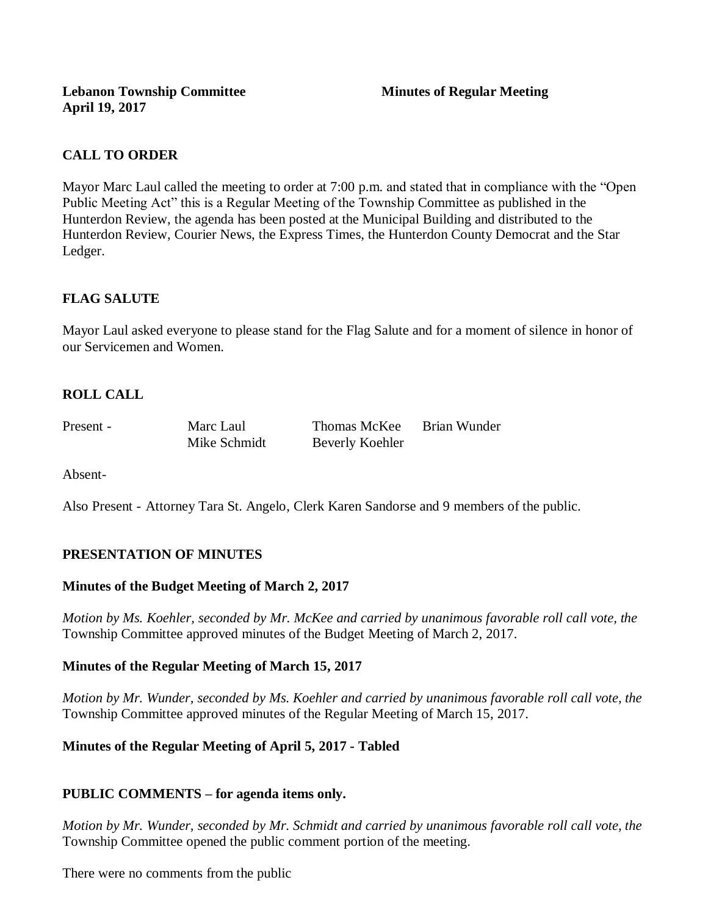## **CALL TO ORDER**

Mayor Marc Laul called the meeting to order at 7:00 p.m. and stated that in compliance with the "Open Public Meeting Act" this is a Regular Meeting of the Township Committee as published in the Hunterdon Review, the agenda has been posted at the Municipal Building and distributed to the Hunterdon Review, Courier News, the Express Times, the Hunterdon County Democrat and the Star Ledger.

## **FLAG SALUTE**

Mayor Laul asked everyone to please stand for the Flag Salute and for a moment of silence in honor of our Servicemen and Women.

# **ROLL CALL**

Present - Marc Laul Thomas McKee Brian Wunder

Mike Schmidt Beverly Koehler

Absent-

Also Present - Attorney Tara St. Angelo, Clerk Karen Sandorse and 9 members of the public.

## **PRESENTATION OF MINUTES**

#### **Minutes of the Budget Meeting of March 2, 2017**

*Motion by Ms. Koehler, seconded by Mr. McKee and carried by unanimous favorable roll call vote, the*  Township Committee approved minutes of the Budget Meeting of March 2, 2017.

#### **Minutes of the Regular Meeting of March 15, 2017**

*Motion by Mr. Wunder, seconded by Ms. Koehler and carried by unanimous favorable roll call vote, the*  Township Committee approved minutes of the Regular Meeting of March 15, 2017.

## **Minutes of the Regular Meeting of April 5, 2017 - Tabled**

#### **PUBLIC COMMENTS – for agenda items only.**

*Motion by Mr. Wunder, seconded by Mr. Schmidt and carried by unanimous favorable roll call vote, the* Township Committee opened the public comment portion of the meeting.

There were no comments from the public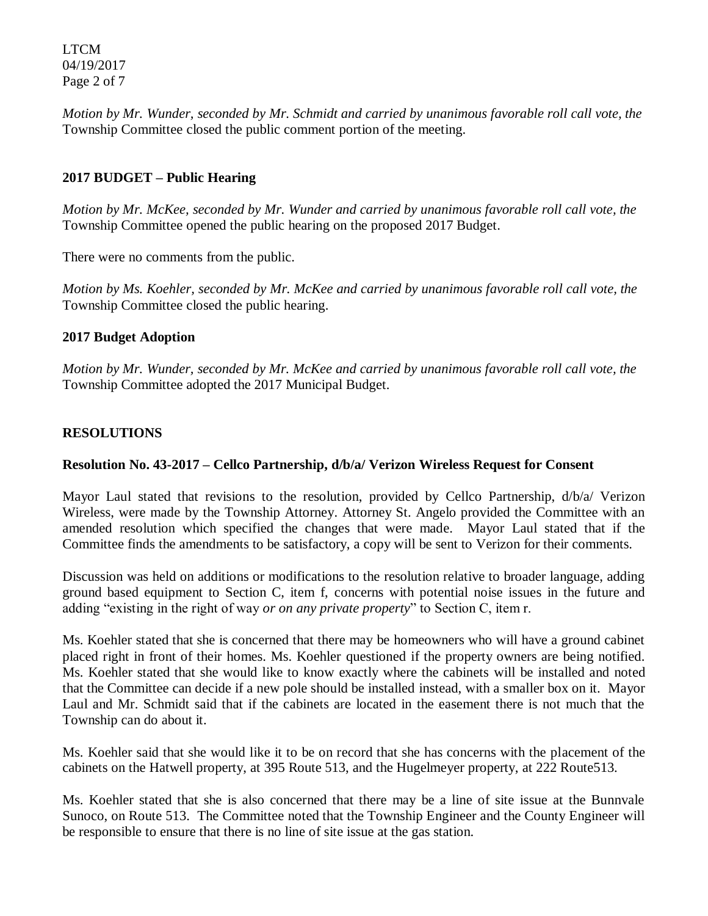LTCM 04/19/2017 Page 2 of 7

*Motion by Mr. Wunder, seconded by Mr. Schmidt and carried by unanimous favorable roll call vote, the* Township Committee closed the public comment portion of the meeting.

## **2017 BUDGET – Public Hearing**

*Motion by Mr. McKee, seconded by Mr. Wunder and carried by unanimous favorable roll call vote, the* Township Committee opened the public hearing on the proposed 2017 Budget.

There were no comments from the public.

*Motion by Ms. Koehler, seconded by Mr. McKee and carried by unanimous favorable roll call vote, the* Township Committee closed the public hearing.

### **2017 Budget Adoption**

*Motion by Mr. Wunder, seconded by Mr. McKee and carried by unanimous favorable roll call vote, the* Township Committee adopted the 2017 Municipal Budget.

## **RESOLUTIONS**

### **Resolution No. 43-2017 – Cellco Partnership, d/b/a/ Verizon Wireless Request for Consent**

Mayor Laul stated that revisions to the resolution, provided by Cellco Partnership, d/b/a/ Verizon Wireless, were made by the Township Attorney. Attorney St. Angelo provided the Committee with an amended resolution which specified the changes that were made. Mayor Laul stated that if the Committee finds the amendments to be satisfactory, a copy will be sent to Verizon for their comments.

Discussion was held on additions or modifications to the resolution relative to broader language, adding ground based equipment to Section C, item f, concerns with potential noise issues in the future and adding "existing in the right of way *or on any private property*" to Section C, item r.

Ms. Koehler stated that she is concerned that there may be homeowners who will have a ground cabinet placed right in front of their homes. Ms. Koehler questioned if the property owners are being notified. Ms. Koehler stated that she would like to know exactly where the cabinets will be installed and noted that the Committee can decide if a new pole should be installed instead, with a smaller box on it. Mayor Laul and Mr. Schmidt said that if the cabinets are located in the easement there is not much that the Township can do about it.

Ms. Koehler said that she would like it to be on record that she has concerns with the placement of the cabinets on the Hatwell property, at 395 Route 513, and the Hugelmeyer property, at 222 Route513.

Ms. Koehler stated that she is also concerned that there may be a line of site issue at the Bunnvale Sunoco, on Route 513. The Committee noted that the Township Engineer and the County Engineer will be responsible to ensure that there is no line of site issue at the gas station.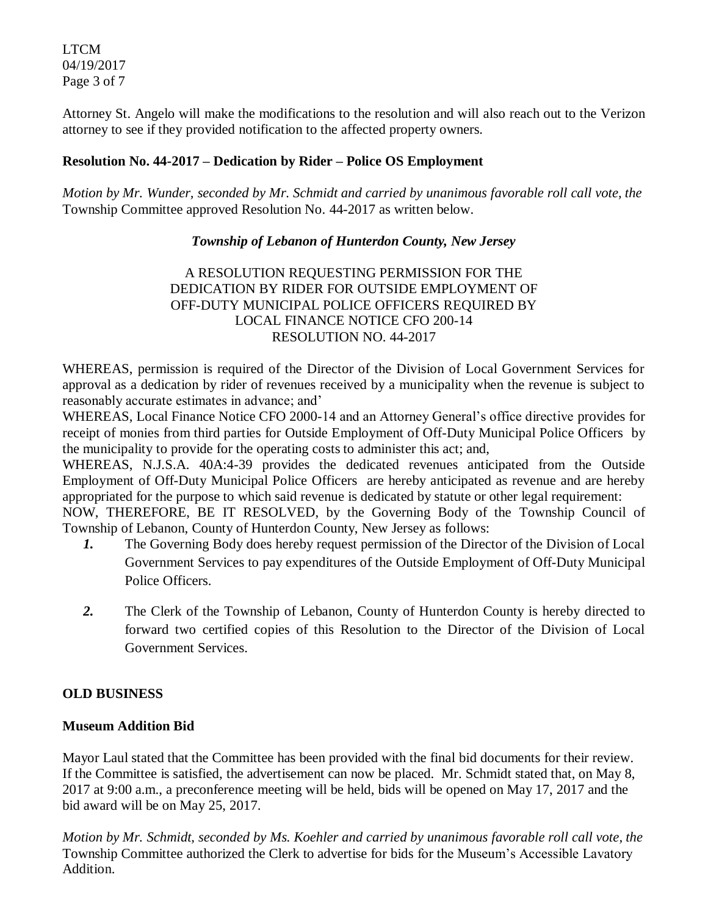LTCM 04/19/2017 Page 3 of 7

Attorney St. Angelo will make the modifications to the resolution and will also reach out to the Verizon attorney to see if they provided notification to the affected property owners.

### **Resolution No. 44-2017 – Dedication by Rider – Police OS Employment**

*Motion by Mr. Wunder, seconded by Mr. Schmidt and carried by unanimous favorable roll call vote, the* Township Committee approved Resolution No. 44-2017 as written below.

### *Township of Lebanon of Hunterdon County, New Jersey*

A RESOLUTION REQUESTING PERMISSION FOR THE DEDICATION BY RIDER FOR OUTSIDE EMPLOYMENT OF OFF-DUTY MUNICIPAL POLICE OFFICERS REQUIRED BY LOCAL FINANCE NOTICE CFO 200-14 RESOLUTION NO. 44-2017

WHEREAS, permission is required of the Director of the Division of Local Government Services for approval as a dedication by rider of revenues received by a municipality when the revenue is subject to reasonably accurate estimates in advance; and'

WHEREAS, Local Finance Notice CFO 2000-14 and an Attorney General's office directive provides for receipt of monies from third parties for Outside Employment of Off-Duty Municipal Police Officers by the municipality to provide for the operating costs to administer this act; and,

WHEREAS, N.J.S.A. 40A:4-39 provides the dedicated revenues anticipated from the Outside Employment of Off-Duty Municipal Police Officers are hereby anticipated as revenue and are hereby appropriated for the purpose to which said revenue is dedicated by statute or other legal requirement:

NOW, THEREFORE, BE IT RESOLVED, by the Governing Body of the Township Council of Township of Lebanon, County of Hunterdon County, New Jersey as follows:

- *1.* The Governing Body does hereby request permission of the Director of the Division of Local Government Services to pay expenditures of the Outside Employment of Off-Duty Municipal Police Officers.
- *2.* The Clerk of the Township of Lebanon, County of Hunterdon County is hereby directed to forward two certified copies of this Resolution to the Director of the Division of Local Government Services.

## **OLD BUSINESS**

## **Museum Addition Bid**

Mayor Laul stated that the Committee has been provided with the final bid documents for their review. If the Committee is satisfied, the advertisement can now be placed. Mr. Schmidt stated that, on May 8, 2017 at 9:00 a.m., a preconference meeting will be held, bids will be opened on May 17, 2017 and the bid award will be on May 25, 2017.

*Motion by Mr. Schmidt, seconded by Ms. Koehler and carried by unanimous favorable roll call vote, the* Township Committee authorized the Clerk to advertise for bids for the Museum's Accessible Lavatory Addition.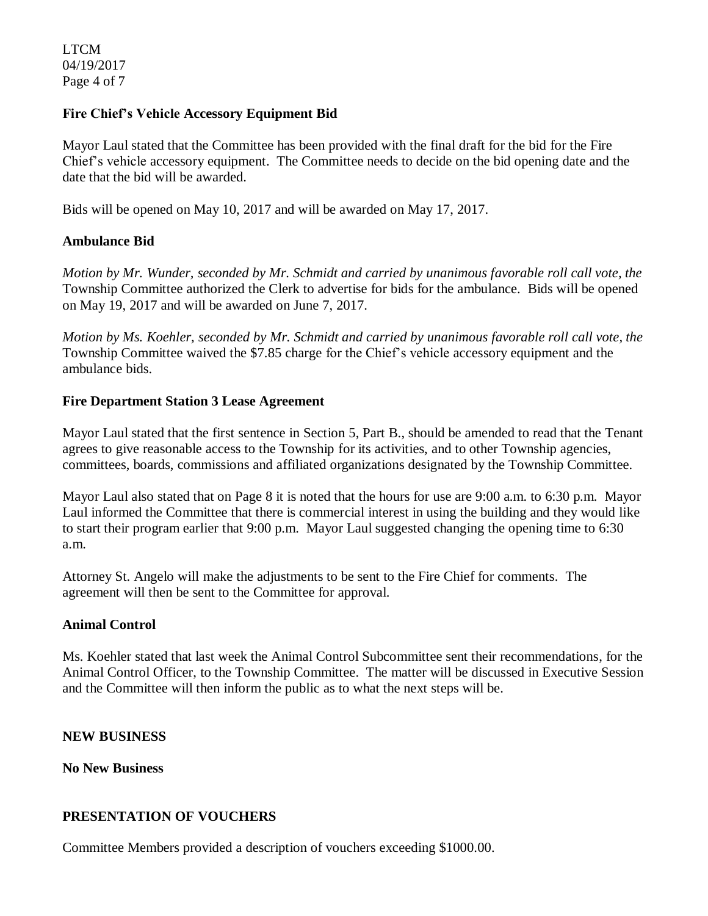### **Fire Chief's Vehicle Accessory Equipment Bid**

Mayor Laul stated that the Committee has been provided with the final draft for the bid for the Fire Chief's vehicle accessory equipment. The Committee needs to decide on the bid opening date and the date that the bid will be awarded.

Bids will be opened on May 10, 2017 and will be awarded on May 17, 2017.

## **Ambulance Bid**

*Motion by Mr. Wunder, seconded by Mr. Schmidt and carried by unanimous favorable roll call vote, the* Township Committee authorized the Clerk to advertise for bids for the ambulance. Bids will be opened on May 19, 2017 and will be awarded on June 7, 2017.

*Motion by Ms. Koehler, seconded by Mr. Schmidt and carried by unanimous favorable roll call vote, the* Township Committee waived the \$7.85 charge for the Chief's vehicle accessory equipment and the ambulance bids.

### **Fire Department Station 3 Lease Agreement**

Mayor Laul stated that the first sentence in Section 5, Part B., should be amended to read that the Tenant agrees to give reasonable access to the Township for its activities, and to other Township agencies, committees, boards, commissions and affiliated organizations designated by the Township Committee.

Mayor Laul also stated that on Page 8 it is noted that the hours for use are 9:00 a.m. to 6:30 p.m. Mayor Laul informed the Committee that there is commercial interest in using the building and they would like to start their program earlier that 9:00 p.m. Mayor Laul suggested changing the opening time to 6:30 a.m.

Attorney St. Angelo will make the adjustments to be sent to the Fire Chief for comments. The agreement will then be sent to the Committee for approval.

#### **Animal Control**

Ms. Koehler stated that last week the Animal Control Subcommittee sent their recommendations, for the Animal Control Officer, to the Township Committee. The matter will be discussed in Executive Session and the Committee will then inform the public as to what the next steps will be.

#### **NEW BUSINESS**

**No New Business**

#### **PRESENTATION OF VOUCHERS**

Committee Members provided a description of vouchers exceeding \$1000.00.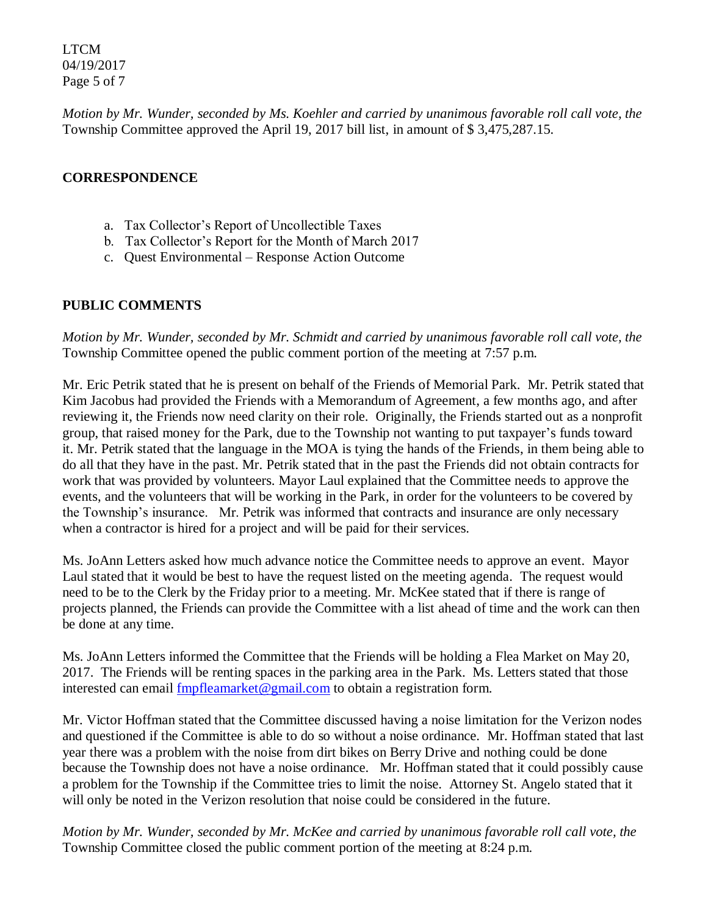LTCM 04/19/2017 Page 5 of 7

*Motion by Mr. Wunder, seconded by Ms. Koehler and carried by unanimous favorable roll call vote, the* Township Committee approved the April 19, 2017 bill list, in amount of \$ 3,475,287.15.

## **CORRESPONDENCE**

- a. Tax Collector's Report of Uncollectible Taxes
- b. Tax Collector's Report for the Month of March 2017
- c. Quest Environmental Response Action Outcome

## **PUBLIC COMMENTS**

*Motion by Mr. Wunder, seconded by Mr. Schmidt and carried by unanimous favorable roll call vote, the* Township Committee opened the public comment portion of the meeting at 7:57 p.m.

Mr. Eric Petrik stated that he is present on behalf of the Friends of Memorial Park. Mr. Petrik stated that Kim Jacobus had provided the Friends with a Memorandum of Agreement, a few months ago, and after reviewing it, the Friends now need clarity on their role. Originally, the Friends started out as a nonprofit group, that raised money for the Park, due to the Township not wanting to put taxpayer's funds toward it. Mr. Petrik stated that the language in the MOA is tying the hands of the Friends, in them being able to do all that they have in the past. Mr. Petrik stated that in the past the Friends did not obtain contracts for work that was provided by volunteers. Mayor Laul explained that the Committee needs to approve the events, and the volunteers that will be working in the Park, in order for the volunteers to be covered by the Township's insurance. Mr. Petrik was informed that contracts and insurance are only necessary when a contractor is hired for a project and will be paid for their services.

Ms. JoAnn Letters asked how much advance notice the Committee needs to approve an event. Mayor Laul stated that it would be best to have the request listed on the meeting agenda. The request would need to be to the Clerk by the Friday prior to a meeting. Mr. McKee stated that if there is range of projects planned, the Friends can provide the Committee with a list ahead of time and the work can then be done at any time.

Ms. JoAnn Letters informed the Committee that the Friends will be holding a Flea Market on May 20, 2017. The Friends will be renting spaces in the parking area in the Park. Ms. Letters stated that those interested can email [fmpfleamarket@gmail.com](mailto:fmpfleamarket@gmail.com) to obtain a registration form.

Mr. Victor Hoffman stated that the Committee discussed having a noise limitation for the Verizon nodes and questioned if the Committee is able to do so without a noise ordinance. Mr. Hoffman stated that last year there was a problem with the noise from dirt bikes on Berry Drive and nothing could be done because the Township does not have a noise ordinance. Mr. Hoffman stated that it could possibly cause a problem for the Township if the Committee tries to limit the noise. Attorney St. Angelo stated that it will only be noted in the Verizon resolution that noise could be considered in the future.

*Motion by Mr. Wunder, seconded by Mr. McKee and carried by unanimous favorable roll call vote, the* Township Committee closed the public comment portion of the meeting at 8:24 p.m.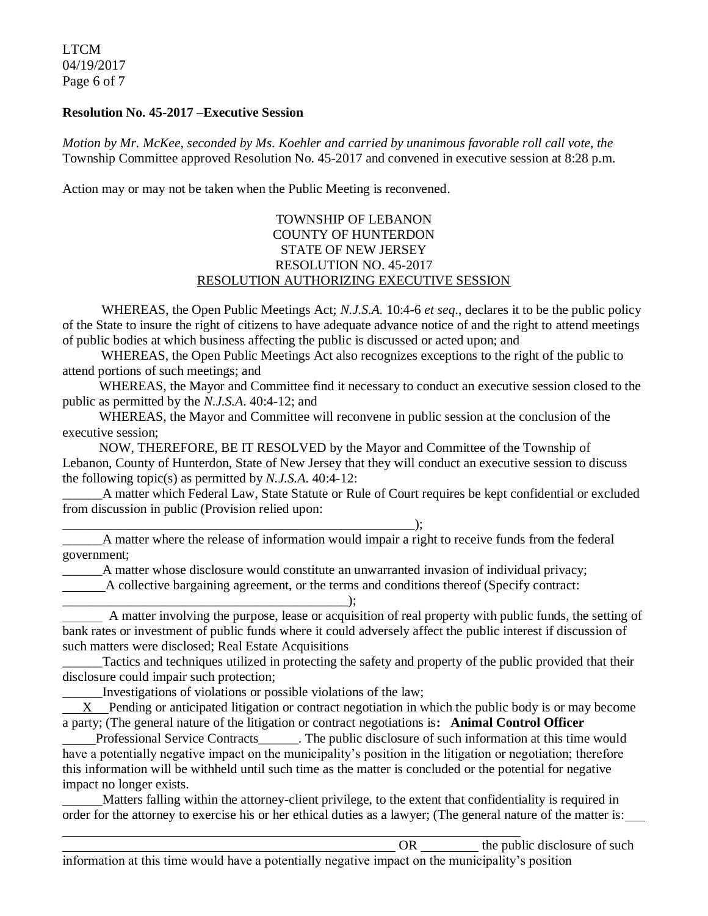LTCM 04/19/2017 Page 6 of 7

#### **Resolution No. 45-2017 –Executive Session**

*Motion by Mr. McKee, seconded by Ms. Koehler and carried by unanimous favorable roll call vote, the* Township Committee approved Resolution No. 45-2017 and convened in executive session at 8:28 p.m.

Action may or may not be taken when the Public Meeting is reconvened.

#### TOWNSHIP OF LEBANON COUNTY OF HUNTERDON STATE OF NEW JERSEY RESOLUTION NO. 45-2017 RESOLUTION AUTHORIZING EXECUTIVE SESSION

WHEREAS, the Open Public Meetings Act; *N.J.S.A.* 10:4-6 *et seq*., declares it to be the public policy of the State to insure the right of citizens to have adequate advance notice of and the right to attend meetings of public bodies at which business affecting the public is discussed or acted upon; and

WHEREAS, the Open Public Meetings Act also recognizes exceptions to the right of the public to attend portions of such meetings; and

 WHEREAS, the Mayor and Committee find it necessary to conduct an executive session closed to the public as permitted by the *N.J.S.A*. 40:4-12; and

 WHEREAS, the Mayor and Committee will reconvene in public session at the conclusion of the executive session;

 NOW, THEREFORE, BE IT RESOLVED by the Mayor and Committee of the Township of Lebanon, County of Hunterdon, State of New Jersey that they will conduct an executive session to discuss the following topic(s) as permitted by *N.J.S.A*. 40:4-12:

\_\_\_\_\_\_A matter which Federal Law, State Statute or Rule of Court requires be kept confidential or excluded from discussion in public (Provision relied upon:

\_\_\_\_\_\_\_\_\_\_\_\_\_\_\_\_\_\_\_\_\_\_\_\_\_\_\_\_\_\_\_\_\_\_\_\_\_\_\_\_\_\_\_\_\_\_\_\_\_\_\_\_\_);

\_\_\_\_\_\_A matter where the release of information would impair a right to receive funds from the federal government;

\_\_\_\_\_\_A matter whose disclosure would constitute an unwarranted invasion of individual privacy; A collective bargaining agreement, or the terms and conditions thereof (Specify contract:

\_\_\_\_\_\_\_\_\_\_\_\_\_\_\_\_\_\_\_\_\_\_\_\_\_\_\_\_\_\_\_\_\_\_\_\_\_\_\_\_\_\_\_); A matter involving the purpose, lease or acquisition of real property with public funds, the setting of bank rates or investment of public funds where it could adversely affect the public interest if discussion of such matters were disclosed; Real Estate Acquisitions

\_\_\_\_\_\_Tactics and techniques utilized in protecting the safety and property of the public provided that their disclosure could impair such protection;

Investigations of violations or possible violations of the law;

 X Pending or anticipated litigation or contract negotiation in which the public body is or may become a party; (The general nature of the litigation or contract negotiations is**: Animal Control Officer** 

 Professional Service Contracts\_\_\_\_\_\_. The public disclosure of such information at this time would have a potentially negative impact on the municipality's position in the litigation or negotiation; therefore this information will be withheld until such time as the matter is concluded or the potential for negative impact no longer exists.

 Matters falling within the attorney-client privilege, to the extent that confidentiality is required in order for the attorney to exercise his or her ethical duties as a lawyer; (The general nature of the matter is:

OR the public disclosure of such  $\theta$ information at this time would have a potentially negative impact on the municipality's position